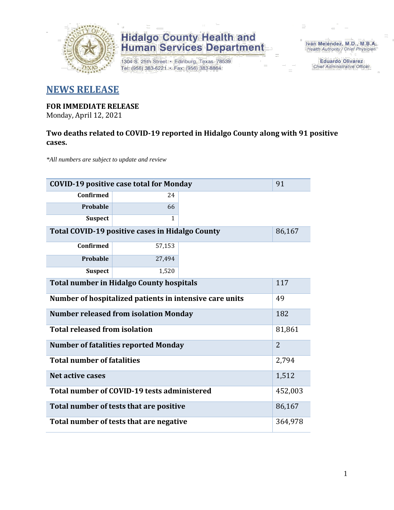

## **Hidalgo County Health and<br>Human Services Department**

1304 S. 25th Street · Edinburg, Texas 78539 Tel: (956) 383-6221 · Fax: (956) 383-8864

Iván Meléndez, M.D., M.B.A. Health Authority / Chief Physician

> **Eduardo Olivarez** Chief Administrative Officer

### **NEWS RELEASE**

### **FOR IMMEDIATE RELEASE**

Monday, April 12, 2021

#### **Two deaths related to COVID-19 reported in Hidalgo County along with 91 positive cases.**

*\*All numbers are subject to update and review*

| <b>COVID-19 positive case total for Monday</b>          |                |        |  |  |
|---------------------------------------------------------|----------------|--------|--|--|
| <b>Confirmed</b>                                        | 24             |        |  |  |
| Probable                                                | 66             |        |  |  |
| <b>Suspect</b>                                          | $\mathbf{1}$   |        |  |  |
| Total COVID-19 positive cases in Hidalgo County         |                | 86,167 |  |  |
| <b>Confirmed</b>                                        | 57,153         |        |  |  |
| Probable                                                | 27,494         |        |  |  |
| <b>Suspect</b>                                          | 1,520          |        |  |  |
| <b>Total number in Hidalgo County hospitals</b>         | 117            |        |  |  |
| Number of hospitalized patients in intensive care units | 49             |        |  |  |
| <b>Number released from isolation Monday</b>            | 182            |        |  |  |
| <b>Total released from isolation</b>                    | 81,861         |        |  |  |
| <b>Number of fatalities reported Monday</b>             | $\overline{2}$ |        |  |  |
| <b>Total number of fatalities</b>                       | 2,794          |        |  |  |
| Net active cases                                        | 1,512          |        |  |  |
| Total number of COVID-19 tests administered             | 452,003        |        |  |  |
| Total number of tests that are positive                 | 86,167         |        |  |  |
| Total number of tests that are negative                 | 364,978        |        |  |  |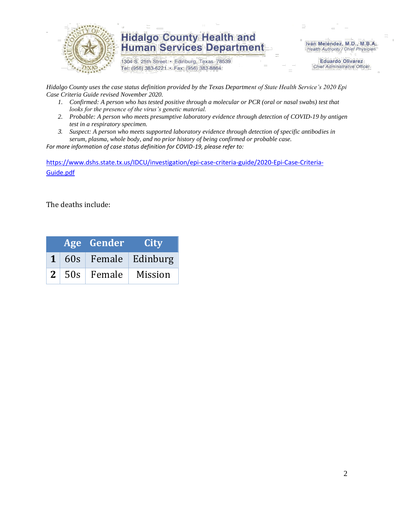

### **Hidalgo County Health and Human Services Department**

1304 S. 25th Street · Edinburg, Texas 78539 Tel: (956) 383-6221 · Fax: (956) 383-8864

Iván Meléndez, M.D., M.B.A. Health Authority / Chief Physician

> **Eduardo Olivarez Chief Administrative Officer**

*Hidalgo County uses the case status definition provided by the Texas Department of State Health Service's 2020 Epi Case Criteria Guide revised November 2020.*

- *1. Confirmed: A person who has tested positive through a molecular or PCR (oral or nasal swabs) test that looks for the presence of the virus's genetic material.*
- *2. Probable: A person who meets presumptive laboratory evidence through detection of COVID-19 by antigen test in a respiratory specimen.*
- *3. Suspect: A person who meets supported laboratory evidence through detection of specific antibodies in serum, plasma, whole body, and no prior history of being confirmed or probable case.*

*For more information of case status definition for COVID-19, please refer to:*

[https://www.dshs.state.tx.us/IDCU/investigation/epi-case-criteria-guide/2020-Epi-Case-Criteria-](https://www.dshs.state.tx.us/IDCU/investigation/epi-case-criteria-guide/2020-Epi-Case-Criteria-Guide.pdf)[Guide.pdf](https://www.dshs.state.tx.us/IDCU/investigation/epi-case-criteria-guide/2020-Epi-Case-Criteria-Guide.pdf)

The deaths include:

|  | Age Gender                 | <b>City</b>           |
|--|----------------------------|-----------------------|
|  |                            | 1 60s Female Edinburg |
|  | 2   50s   Female   Mission |                       |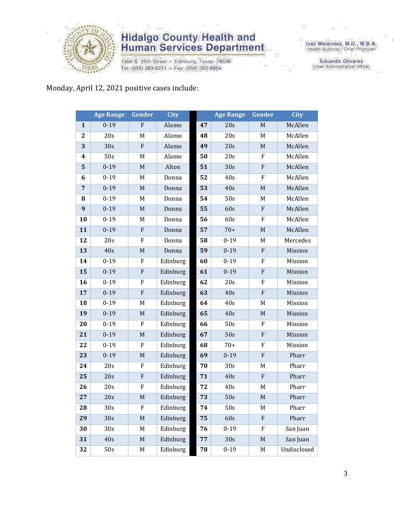

## **Hidalgo County Health and<br>Human Services Department**

1304 S. 25th Street · Edinburg, Texas 78539 Tel: (956) 383-6221 · Fax: (956) 383-8864

Iván Meléndez, M.D., M.B.A.<br>Health Authority / Chief Physician

**Eduardo Olivarez** Chief Administrative Officer

#### Monday, April 12, 2021 positive cases include:

|                  | <b>Age Range</b> | Gender                                                                                                     | <b>City</b> |    | <b>Age Range</b> | Gender                    | <b>City</b> |
|------------------|------------------|------------------------------------------------------------------------------------------------------------|-------------|----|------------------|---------------------------|-------------|
| $\mathbf{1}$     | $0 - 19$         | ${\bf F}$                                                                                                  | Alamo       | 47 | 20s              | $\mathbf M$               | McAllen     |
| $\boldsymbol{2}$ | 20s              | M                                                                                                          | Alamo       | 48 | 20s              | M                         | McAllen     |
| 3                | 30s              | $\mathbf F$                                                                                                | Alamo       | 49 | 20s              | $\mathbf M$               | McAllen     |
| 4                | 50s              | M                                                                                                          | Alamo       | 50 | 20s              | F                         | McAllen     |
| 5                | $0 - 19$         | $\mathbf M$                                                                                                | Alton       | 51 | 30s              | ${\bf F}$                 | McAllen     |
| 6                | $0 - 19$         | M                                                                                                          | Donna       | 52 | 40s              | F                         | McAllen     |
| $\overline{7}$   | $0 - 19$         | $\mathbf M$                                                                                                | Donna       | 53 | 40s              | $\mathbf M$               | McAllen     |
| 8                | $0 - 19$         | M                                                                                                          | Donna       | 54 | 50s              | M                         | McAllen     |
| 9                | $0 - 19$         | $\mathbf M$                                                                                                | Donna       | 55 | 60s              | $\boldsymbol{\mathrm{F}}$ | McAllen     |
| 10               | $0 - 19$         | M                                                                                                          | Donna       | 56 | 60s              | F                         | McAllen     |
| 11               | $0 - 19$         | $\mathbf F$                                                                                                | Donna       | 57 | $70+$            | $\mathbf M$               | McAllen     |
| 12               | 20s              | ${\bf F}$                                                                                                  | Donna       | 58 | $0 - 19$         | M                         | Mercedes    |
| 13               | 40s              | $\mathbf M$                                                                                                | Donna       | 59 | $0 - 19$         | ${\bf F}$                 | Mission     |
| 14               | $0 - 19$         | F                                                                                                          | Edinburg    | 60 | $0 - 19$         | F                         | Mission     |
| 15               | $0 - 19$         | $\mathbf F$                                                                                                | Edinburg    | 61 | $0 - 19$         | $\boldsymbol{\mathrm{F}}$ | Mission     |
| 16               | $0 - 19$         | ${\bf F}$                                                                                                  | Edinburg    | 62 | 20s              | F                         | Mission     |
| 17               | $0 - 19$         | ${\bf F}$                                                                                                  | Edinburg    | 63 | 40s              | $\boldsymbol{\mathrm{F}}$ | Mission     |
| 18               | $0 - 19$         | M                                                                                                          | Edinburg    | 64 | 40s              | M                         | Mission     |
| 19               | $0 - 19$         | $\mathbf M$                                                                                                | Edinburg    | 65 | 40s              | $\mathbf M$               | Mission     |
| 20               | $0 - 19$         | ${\bf F}$                                                                                                  | Edinburg    | 66 | 50s              | F                         | Mission     |
| 21               | $0 - 19$         | $\mathbf M$                                                                                                | Edinburg    | 67 | 50s              | $\boldsymbol{\mathrm{F}}$ | Mission     |
| 22               | $0 - 19$         | ${\bf F}$                                                                                                  | Edinburg    | 68 | $70+$            | F                         | Mission     |
| 23               | $0 - 19$         | $\mathbf M$                                                                                                | Edinburg    | 69 | $0 - 19$         | ${\bf F}$                 | Pharr       |
| 24               | 20s              | F                                                                                                          | Edinburg    | 70 | 30s              | M                         | Pharr       |
| 25               | 20s              | ${\bf F}$                                                                                                  | Edinburg    | 71 | 40s              | ${\bf F}$                 | Pharr       |
| 26               | 20s              | F                                                                                                          | Edinburg    | 72 | 40s              | M                         | Pharr       |
| 27               | 20s              | $\mathsf{M}% _{T}=\mathsf{M}_{T}\!\left( a,b\right) ,\ \mathsf{M}_{T}=\mathsf{M}_{T}\!\left( a,b\right) ,$ | Edinburg    | 73 | 50s              | M                         | Pharr       |
| 28               | 30 <sub>s</sub>  | F                                                                                                          | Edinburg    | 74 | 50s              | M                         | Pharr       |
| 29               | 30s              | $\mathbf M$                                                                                                | Edinburg    | 75 | 60s              | ${\bf F}$                 | Pharr       |
| 30               | 30s              | M                                                                                                          | Edinburg    | 76 | $0 - 19$         | F                         | San Juan    |
| 31               | 40s              | $\mathbf M$                                                                                                | Edinburg    | 77 | 30s              | $\mathbf M$               | San Juan    |
| 32               | 50s              | M                                                                                                          | Edinburg    | 78 | $0 - 19$         | M                         | Undisclosed |